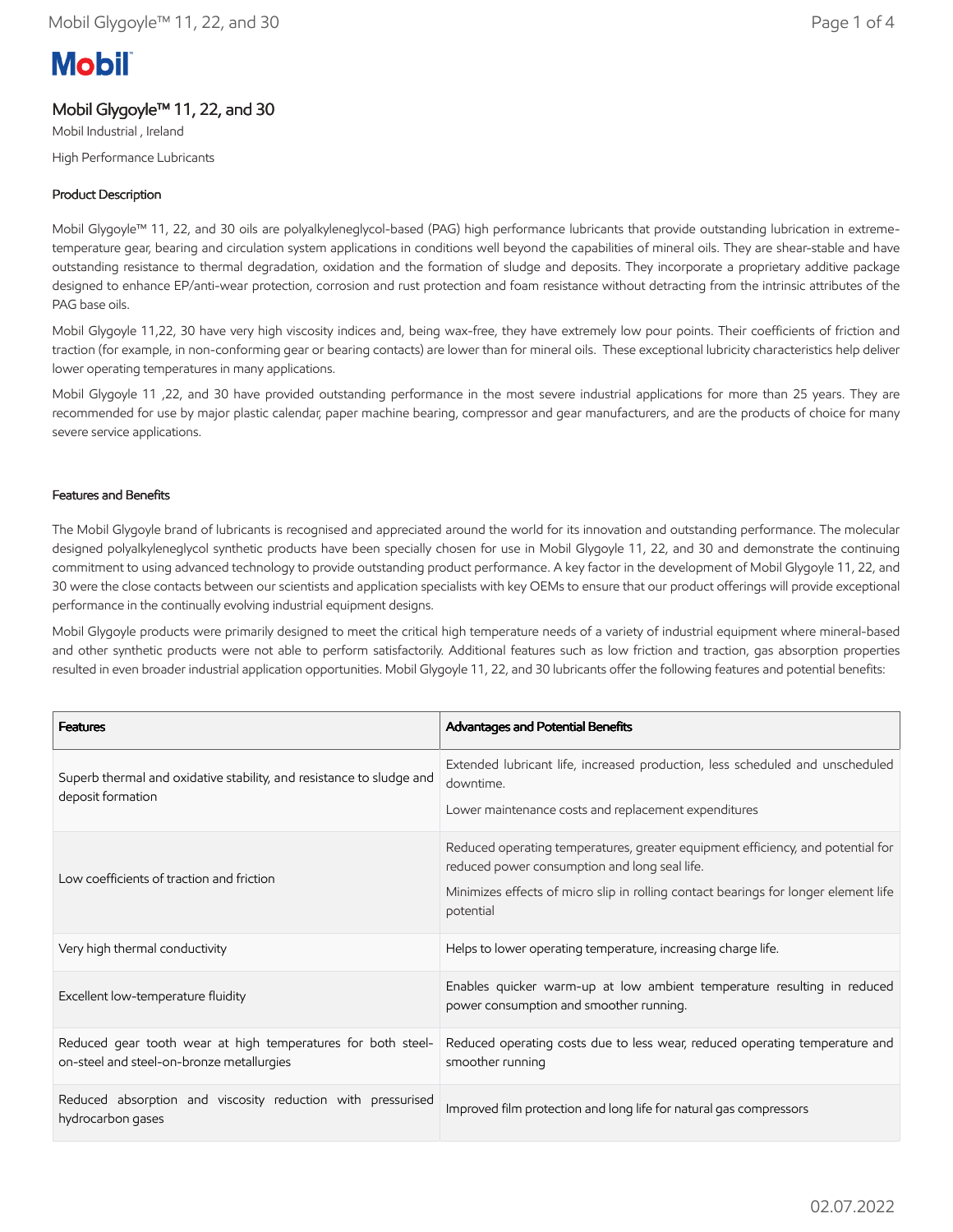# **Mobil**

# Mobil Glygoyle™ 11, 22, and 30

Mobil Industrial , Ireland High Performance Lubricants

# Product Description

Mobil Glygoyle™ 11, 22, and 30 oils are polyalkyleneglycol-based (PAG) high performance lubricants that provide outstanding lubrication in extremetemperature gear, bearing and circulation system applications in conditions well beyond the capabilities of mineral oils. They are shear-stable and have outstanding resistance to thermal degradation, oxidation and the formation of sludge and deposits. They incorporate a proprietary additive package designed to enhance EP/anti-wear protection, corrosion and rust protection and foam resistance without detracting from the intrinsic attributes of the PAG base oils.

Mobil Glygoyle 11,22, 30 have very high viscosity indices and, being wax-free, they have extremely low pour points. Their coefficients of friction and traction (for example, in non-conforming gear or bearing contacts) are lower than for mineral oils. These exceptional lubricity characteristics help deliver lower operating temperatures in many applications.

Mobil Glygoyle 11 ,22, and 30 have provided outstanding performance in the most severe industrial applications for more than 25 years. They are recommended for use by major plastic calendar, paper machine bearing, compressor and gear manufacturers, and are the products of choice for many severe service applications.

# Features and Benefits

The Mobil Glygoyle brand of lubricants is recognised and appreciated around the world for its innovation and outstanding performance. The molecular designed polyalkyleneglycol synthetic products have been specially chosen for use in Mobil Glygoyle 11, 22, and 30 and demonstrate the continuing commitment to using advanced technology to provide outstanding product performance. A key factor in the development of Mobil Glygoyle 11, 22, and 30 were the close contacts between our scientists and application specialists with key OEMs to ensure that our product offerings will provide exceptional performance in the continually evolving industrial equipment designs.

Mobil Glygoyle products were primarily designed to meet the critical high temperature needs of a variety of industrial equipment where mineral-based and other synthetic products were not able to perform satisfactorily. Additional features such as low friction and traction, gas absorption properties resulted in even broader industrial application opportunities. Mobil Glygoyle 11, 22, and 30 lubricants offer the following features and potential benefits:

| <b>Features</b>                                                                                           | Advantages and Potential Benefits                                                                                                                                                                                                    |
|-----------------------------------------------------------------------------------------------------------|--------------------------------------------------------------------------------------------------------------------------------------------------------------------------------------------------------------------------------------|
| Superb thermal and oxidative stability, and resistance to sludge and<br>deposit formation                 | Extended lubricant life, increased production, less scheduled and unscheduled<br>downtime.<br>Lower maintenance costs and replacement expenditures                                                                                   |
| Low coefficients of traction and friction                                                                 | Reduced operating temperatures, greater equipment efficiency, and potential for<br>reduced power consumption and long seal life.<br>Minimizes effects of micro slip in rolling contact bearings for longer element life<br>potential |
| Very high thermal conductivity                                                                            | Helps to lower operating temperature, increasing charge life.                                                                                                                                                                        |
| Excellent low-temperature fluidity                                                                        | Enables quicker warm-up at low ambient temperature resulting in reduced<br>power consumption and smoother running.                                                                                                                   |
| Reduced gear tooth wear at high temperatures for both steel-<br>on-steel and steel-on-bronze metallurgies | Reduced operating costs due to less wear, reduced operating temperature and<br>smoother running                                                                                                                                      |
| Reduced absorption and viscosity reduction with pressurised<br>hydrocarbon gases                          | Improved film protection and long life for natural gas compressors                                                                                                                                                                   |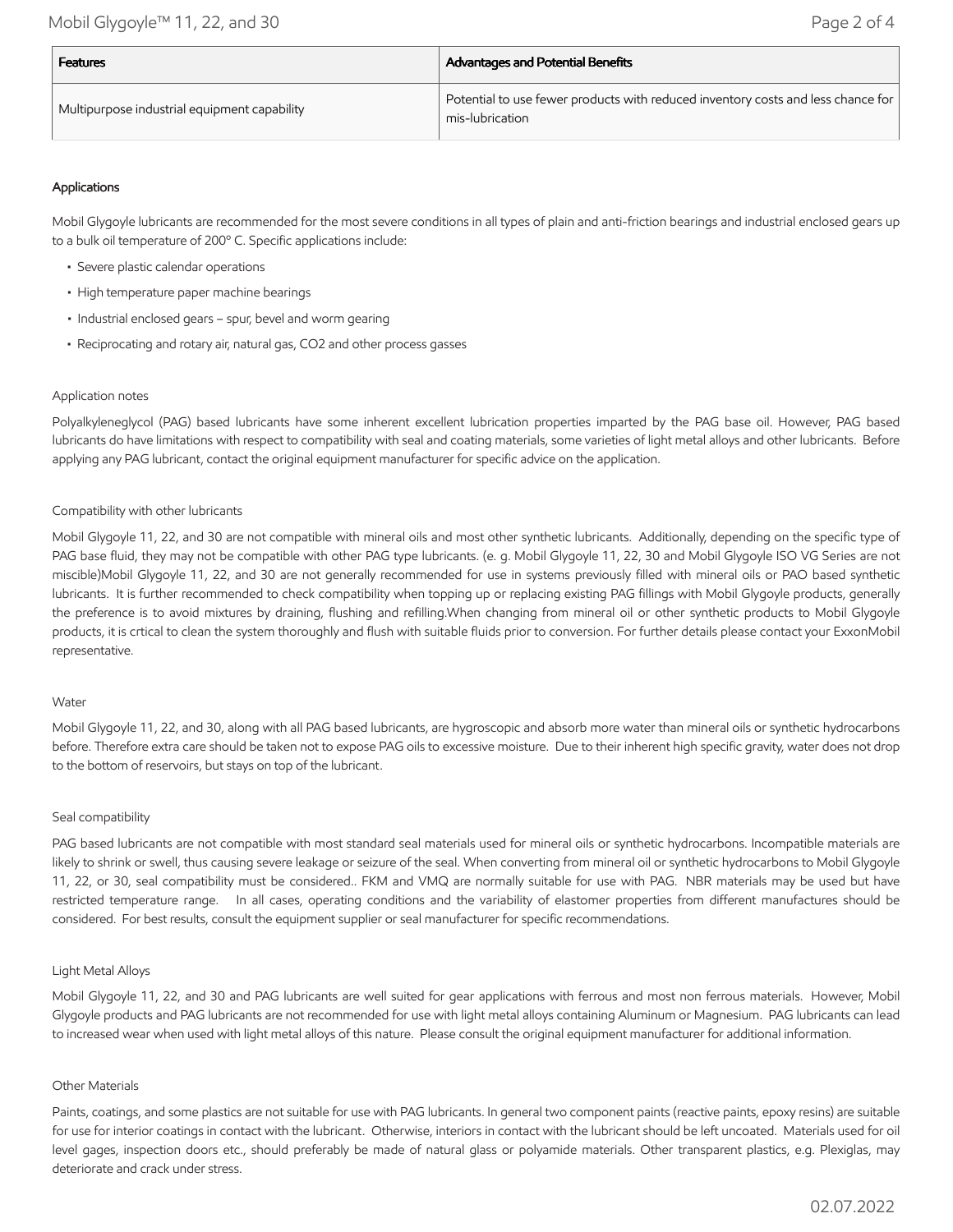| <b>Features</b>                              | <b>Advantages and Potential Benefits</b>                                                            |  |
|----------------------------------------------|-----------------------------------------------------------------------------------------------------|--|
| Multipurpose industrial equipment capability | Potential to use fewer products with reduced inventory costs and less chance for<br>mis-lubrication |  |

# Applications

Mobil Glygoyle lubricants are recommended for the most severe conditions in all types of plain and anti-friction bearings and industrial enclosed gears up to a bulk oil temperature of 200º C. Specific applications include:

- Severe plastic calendar operations
- High temperature paper machine bearings
- Industrial enclosed gears spur, bevel and worm gearing
- Reciprocating and rotary air, natural gas, CO2 and other process gasses

# Application notes

Polyalkyleneglycol (PAG) based lubricants have some inherent excellent lubrication properties imparted by the PAG base oil. However, PAG based lubricants do have limitations with respect to compatibility with seal and coating materials, some varieties of light metal alloys and other lubricants. Before applying any PAG lubricant, contact the original equipment manufacturer for specific advice on the application.

# Compatibility with other lubricants

Mobil Glygoyle 11, 22, and 30 are not compatible with mineral oils and most other synthetic lubricants. Additionally, depending on the specific type of PAG base fluid, they may not be compatible with other PAG type lubricants. (e. g. Mobil Glygoyle 11, 22, 30 and Mobil Glygoyle ISO VG Series are not miscible)Mobil Glygoyle 11, 22, and 30 are not generally recommended for use in systems previously filled with mineral oils or PAO based synthetic lubricants. It is further recommended to check compatibility when topping up or replacing existing PAG fillings with Mobil Glygoyle products, generally the preference is to avoid mixtures by draining, flushing and refilling.When changing from mineral oil or other synthetic products to Mobil Glygoyle products, it is crtical to clean the system thoroughly and flush with suitable fluids prior to conversion. For further details please contact your ExxonMobil representative.

#### Water

Mobil Glygoyle 11, 22, and 30, along with all PAG based lubricants, are hygroscopic and absorb more water than mineral oils or synthetic hydrocarbons before. Therefore extra care should be taken not to expose PAG oils to excessive moisture. Due to their inherent high specific gravity, water does not drop to the bottom of reservoirs, but stays on top of the lubricant.

#### Seal compatibility

PAG based lubricants are not compatible with most standard seal materials used for mineral oils or synthetic hydrocarbons. Incompatible materials are likely to shrink or swell, thus causing severe leakage or seizure of the seal. When converting from mineral oil or synthetic hydrocarbons to Mobil Glygoyle 11, 22, or 30, seal compatibility must be considered.. FKM and VMQ are normally suitable for use with PAG. NBR materials may be used but have restricted temperature range. In all cases, operating conditions and the variability of elastomer properties from different manufactures should be considered. For best results, consult the equipment supplier or seal manufacturer for specific recommendations.

# Light Metal Alloys

Mobil Glygoyle 11, 22, and 30 and PAG lubricants are well suited for gear applications with ferrous and most non ferrous materials. However, Mobil Glygoyle products and PAG lubricants are not recommended for use with light metal alloys containing Aluminum or Magnesium. PAG lubricants can lead to increased wear when used with light metal alloys of this nature. Please consult the original equipment manufacturer for additional information.

#### Other Materials

Paints, coatings, and some plastics are not suitable for use with PAG lubricants. In general two component paints (reactive paints, epoxy resins) are suitable for use for interior coatings in contact with the lubricant. Otherwise, interiors in contact with the lubricant should be left uncoated. Materials used for oil level gages, inspection doors etc., should preferably be made of natural glass or polyamide materials. Other transparent plastics, e.g. Plexiglas, may deteriorate and crack under stress.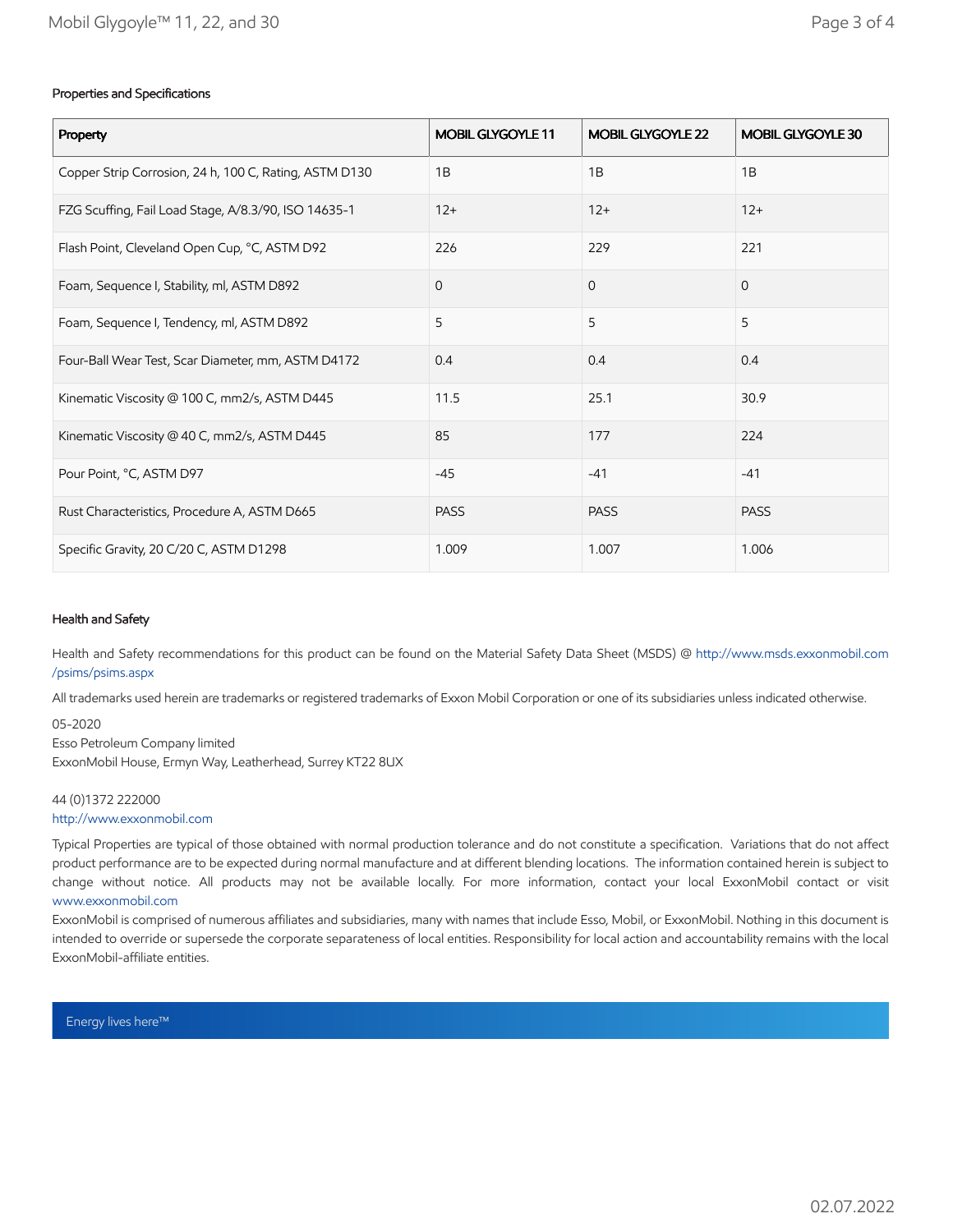# Properties and Specifications

| Property                                               | MOBIL GLYGOYLE 11 | MOBIL GLYGOYLE 22 | MOBIL GLYGOYLE 30 |
|--------------------------------------------------------|-------------------|-------------------|-------------------|
| Copper Strip Corrosion, 24 h, 100 C, Rating, ASTM D130 | 1B                | 1B                | 1B                |
| FZG Scuffing, Fail Load Stage, A/8.3/90, ISO 14635-1   | $12+$             | $12+$             | $12+$             |
| Flash Point, Cleveland Open Cup, °C, ASTM D92          | 226               | 229               | 221               |
| Foam, Sequence I, Stability, ml, ASTM D892             | $\mathbf{O}$      | $\mathbf{O}$      | $\mathbf{0}$      |
| Foam, Sequence I, Tendency, ml, ASTM D892              | 5                 | 5                 | 5                 |
| Four-Ball Wear Test, Scar Diameter, mm, ASTM D4172     | 0.4               | 0.4               | 0.4               |
| Kinematic Viscosity @ 100 C, mm2/s, ASTM D445          | 11.5              | 25.1              | 30.9              |
| Kinematic Viscosity @ 40 C, mm2/s, ASTM D445           | 85                | 177               | 224               |
| Pour Point, °C, ASTM D97                               | $-45$             | $-41$             | $-41$             |
| Rust Characteristics, Procedure A, ASTM D665           | <b>PASS</b>       | <b>PASS</b>       | <b>PASS</b>       |
| Specific Gravity, 20 C/20 C, ASTM D1298                | 1.009             | 1.007             | 1.006             |

# Health and Safety

Health and Safety recommendations for this product can be found on the Material Safety Data Sheet (MSDS) @ [http://www.msds.exxonmobil.com](http://www.msds.exxonmobil.com/psims/psims.aspx) /psims/psims.aspx

All trademarks used herein are trademarks or registered trademarks of Exxon Mobil Corporation or one of its subsidiaries unless indicated otherwise.

05-2020 Esso Petroleum Company limited ExxonMobil House, Ermyn Way, Leatherhead, Surrey KT22 8UX

# 44 (0)1372 222000

[http://www.exxonmobil.com](http://www.exxonmobil.com/)

Typical Properties are typical of those obtained with normal production tolerance and do not constitute a specification. Variations that do not affect product performance are to be expected during normal manufacture and at different blending locations. The information contained herein is subject to change without notice. All products may not be available locally. For more information, contact your local ExxonMobil contact or visit [www.exxonmobil.com](http://www.exxonmobil.com/)

ExxonMobil is comprised of numerous affiliates and subsidiaries, many with names that include Esso, Mobil, or ExxonMobil. Nothing in this document is intended to override or supersede the corporate separateness of local entities. Responsibility for local action and accountability remains with the local ExxonMobil-affiliate entities.

Energy lives here™